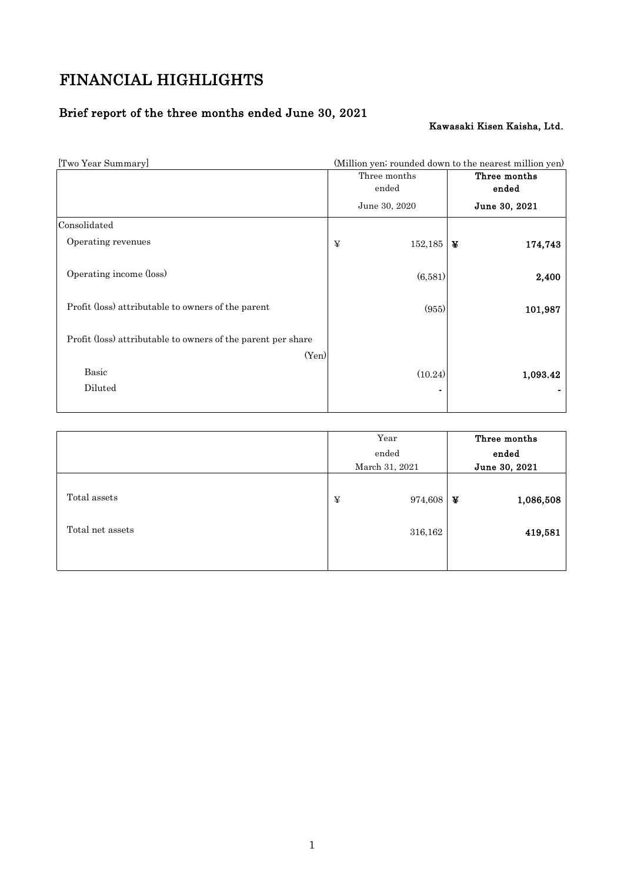# FINANCIAL HIGHLIGHTS

# Brief report of the three months ended June 30, 2021

# Kawasaki Kisen Kaisha, Ltd.

| [Two Year Summary]                                                    | (Million yen; rounded down to the nearest million yen) |               |   |               |
|-----------------------------------------------------------------------|--------------------------------------------------------|---------------|---|---------------|
|                                                                       | Three months                                           |               |   | Three months  |
|                                                                       |                                                        | ended         |   | ended         |
|                                                                       |                                                        | June 30, 2020 |   | June 30, 2021 |
| Consolidated                                                          |                                                        |               |   |               |
| Operating revenues                                                    | ¥                                                      | 152,185       | ¥ | 174,743       |
| Operating income (loss)                                               |                                                        | (6,581)       |   | 2,400         |
| Profit (loss) attributable to owners of the parent                    |                                                        | (955)         |   | 101,987       |
| Profit (loss) attributable to owners of the parent per share<br>(Yen) |                                                        |               |   |               |
| <b>Basic</b><br>Diluted                                               |                                                        | (10.24)       |   | 1,093.42      |
|                                                                       |                                                        |               |   |               |

|                                  | Year |                    | Three months |                      |
|----------------------------------|------|--------------------|--------------|----------------------|
|                                  |      | ended              |              | ended                |
|                                  |      | March 31, 2021     |              | June 30, 2021        |
| Total assets<br>Total net assets | ¥    | 974,608<br>316,162 | ¥            | 1,086,508<br>419,581 |
|                                  |      |                    |              |                      |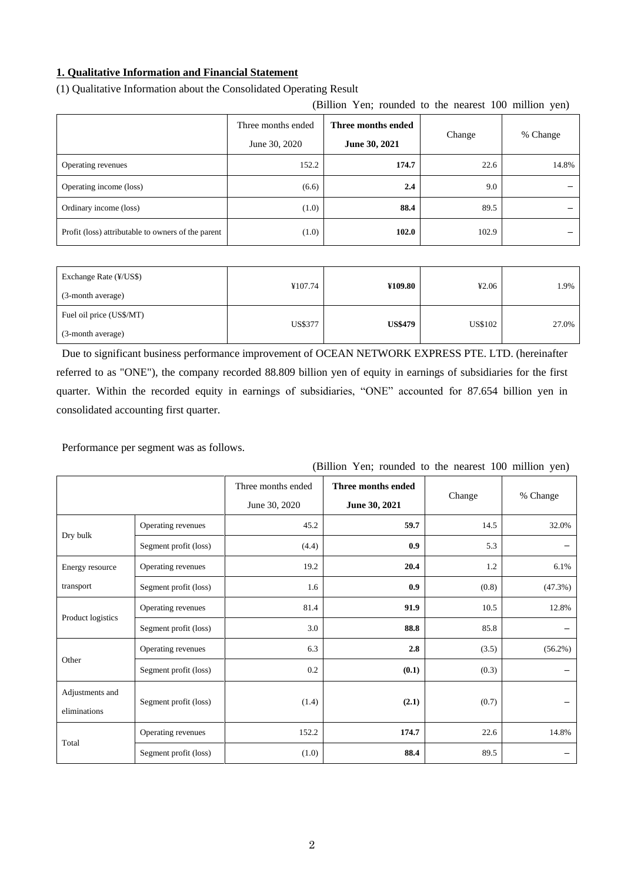# **1. Qualitative Information and Financial Statement**

| (Billion Yen; rounded to the nearest 100 million yen) |                                          |               |        |          |  |  |  |
|-------------------------------------------------------|------------------------------------------|---------------|--------|----------|--|--|--|
|                                                       | Three months ended<br>Three months ended |               | Change | % Change |  |  |  |
|                                                       | June 30, 2020                            | June 30, 2021 |        |          |  |  |  |
| Operating revenues                                    | 152.2                                    | 174.7         | 22.6   | 14.8%    |  |  |  |
| Operating income (loss)                               | (6.6)                                    | 2.4           | 9.0    |          |  |  |  |
| Ordinary income (loss)                                | (1.0)                                    | 88.4          | 89.5   |          |  |  |  |
| Profit (loss) attributable to owners of the parent    | (1.0)                                    | 102.0         | 102.9  |          |  |  |  |

## (1) Qualitative Information about the Consolidated Operating Result

| Exchange Rate (¥/US\$)<br>(3-month average)   | ¥107.74        | ¥109.80        | 42.06   | 1.9%  |
|-----------------------------------------------|----------------|----------------|---------|-------|
| Fuel oil price (US\$/MT)<br>(3-month average) | <b>US\$377</b> | <b>US\$479</b> | US\$102 | 27.0% |

Due to significant business performance improvement of OCEAN NETWORK EXPRESS PTE. LTD. (hereinafter referred to as "ONE"), the company recorded 88.809 billion yen of equity in earnings of subsidiaries for the first quarter. Within the recorded equity in earnings of subsidiaries, "ONE" accounted for 87.654 billion yen in

consolidated accounting first quarter.

Performance per segment was as follows.

| (Brition Ten, founded to the nearest Too miniton year) |                       |                                     |                                     |        |            |  |  |
|--------------------------------------------------------|-----------------------|-------------------------------------|-------------------------------------|--------|------------|--|--|
|                                                        |                       | Three months ended<br>June 30, 2020 | Three months ended<br>June 30, 2021 | Change | % Change   |  |  |
|                                                        | Operating revenues    | 45.2                                | 59.7                                | 14.5   | 32.0%      |  |  |
| Dry bulk                                               | Segment profit (loss) | (4.4)                               | 0.9                                 | 5.3    |            |  |  |
| Energy resource                                        | Operating revenues    | 19.2                                | 20.4                                | 1.2    | 6.1%       |  |  |
| transport                                              | Segment profit (loss) | 1.6                                 | 0.9                                 | (0.8)  | (47.3%)    |  |  |
| Product logistics                                      | Operating revenues    | 81.4                                | 91.9                                | 10.5   | 12.8%      |  |  |
|                                                        | Segment profit (loss) | 3.0                                 | 88.8                                | 85.8   |            |  |  |
|                                                        | Operating revenues    | 6.3                                 | 2.8                                 | (3.5)  | $(56.2\%)$ |  |  |
| Other                                                  | Segment profit (loss) | 0.2                                 | (0.1)                               | (0.3)  |            |  |  |
| Adjustments and<br>eliminations                        | Segment profit (loss) | (1.4)                               | (2.1)                               | (0.7)  |            |  |  |
|                                                        | Operating revenues    | 152.2                               | 174.7                               | 22.6   | 14.8%      |  |  |
| Total                                                  | Segment profit (loss) | (1.0)                               | 88.4                                | 89.5   |            |  |  |

# (Billion Yen; rounded to the nearest 100 million yen)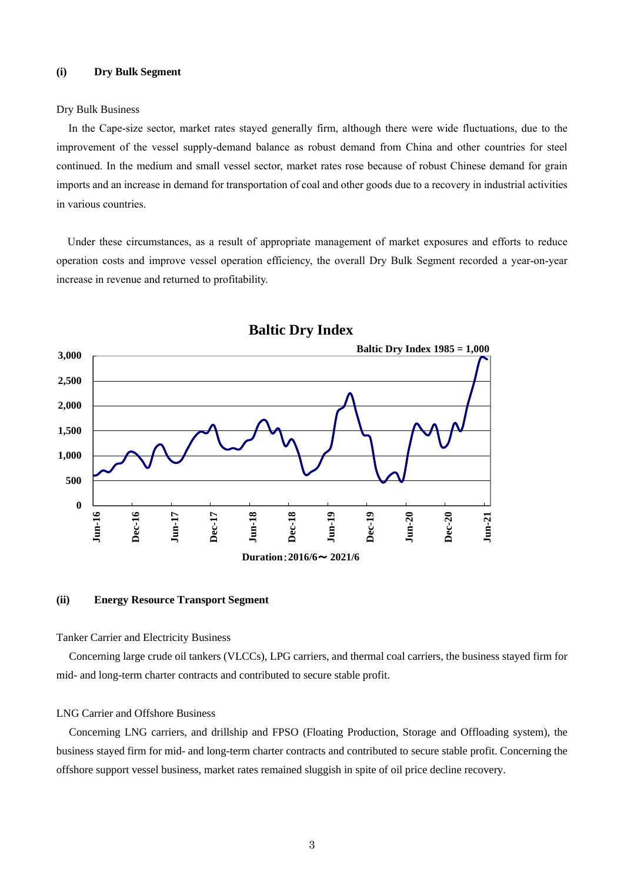### **(i) Dry Bulk Segment**

### Dry Bulk Business

In the Cape-size sector, market rates stayed generally firm, although there were wide fluctuations, due to the improvement of the vessel supply-demand balance as robust demand from China and other countries for steel continued. In the medium and small vessel sector, market rates rose because of robust Chinese demand for grain imports and an increase in demand for transportation of coal and other goods due to a recovery in industrial activities in various countries.

Under these circumstances, as a result of appropriate management of market exposures and efforts to reduce operation costs and improve vessel operation efficiency, the overall Dry Bulk Segment recorded a year-on-year increase in revenue and returned to profitability.



# **Baltic Dry Index**

### **(ii) Energy Resource Transport Segment**

#### Tanker Carrier and Electricity Business

Concerning large crude oil tankers (VLCCs), LPG carriers, and thermal coal carriers, the business stayed firm for mid- and long-term charter contracts and contributed to secure stable profit.

#### LNG Carrier and Offshore Business

Concerning LNG carriers, and drillship and FPSO (Floating Production, Storage and Offloading system), the business stayed firm for mid- and long-term charter contracts and contributed to secure stable profit. Concerning the offshore support vessel business, market rates remained sluggish in spite of oil price decline recovery.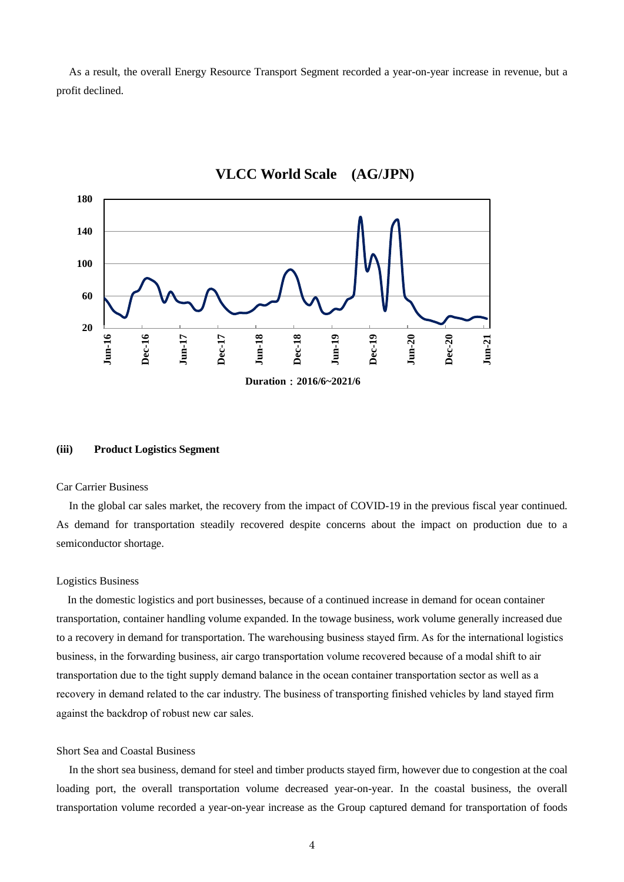As a result, the overall Energy Resource Transport Segment recorded a year-on-year increase in revenue, but a profit declined.



# **VLCC World Scale (AG/JPN)**

#### **(iii) Product Logistics Segment**

#### Car Carrier Business

In the global car sales market, the recovery from the impact of COVID-19 in the previous fiscal year continued. As demand for transportation steadily recovered despite concerns about the impact on production due to a semiconductor shortage.

### Logistics Business

In the domestic logistics and port businesses, because of a continued increase in demand for ocean container transportation, container handling volume expanded. In the towage business, work volume generally increased due to a recovery in demand for transportation. The warehousing business stayed firm. As for the international logistics business, in the forwarding business, air cargo transportation volume recovered because of a modal shift to air transportation due to the tight supply demand balance in the ocean container transportation sector as well as a recovery in demand related to the car industry. The business of transporting finished vehicles by land stayed firm against the backdrop of robust new car sales.

### Short Sea and Coastal Business

In the short sea business, demand for steel and timber products stayed firm, however due to congestion at the coal loading port, the overall transportation volume decreased year-on-year. In the coastal business, the overall transportation volume recorded a year-on-year increase as the Group captured demand for transportation of foods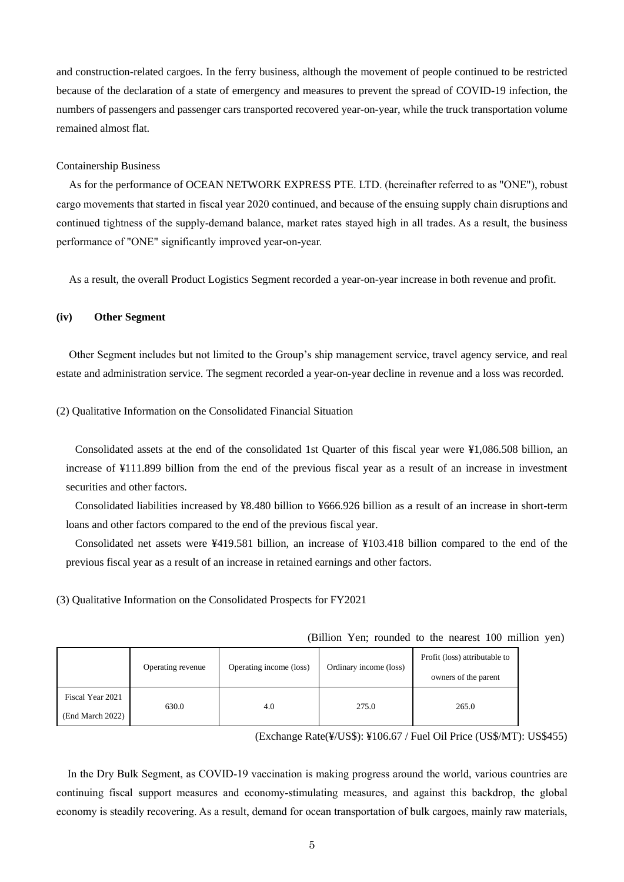and construction-related cargoes. In the ferry business, although the movement of people continued to be restricted because of the declaration of a state of emergency and measures to prevent the spread of COVID-19 infection, the numbers of passengers and passenger cars transported recovered year-on-year, while the truck transportation volume remained almost flat.

### Containership Business

As for the performance of OCEAN NETWORK EXPRESS PTE. LTD. (hereinafter referred to as "ONE"), robust cargo movements that started in fiscal year 2020 continued, and because of the ensuing supply chain disruptions and continued tightness of the supply-demand balance, market rates stayed high in all trades. As a result, the business performance of "ONE" significantly improved year-on-year.

As a result, the overall Product Logistics Segment recorded a year-on-year increase in both revenue and profit.

### **(iv) Other Segment**

Other Segment includes but not limited to the Group's ship management service, travel agency service, and real estate and administration service. The segment recorded a year-on-year decline in revenue and a loss was recorded.

### (2) Qualitative Information on the Consolidated Financial Situation

Consolidated assets at the end of the consolidated 1st Quarter of this fiscal year were ¥1,086.508 billion, an increase of ¥111.899 billion from the end of the previous fiscal year as a result of an increase in investment securities and other factors.

Consolidated liabilities increased by ¥8.480 billion to ¥666.926 billion as a result of an increase in short-term loans and other factors compared to the end of the previous fiscal year.

Consolidated net assets were ¥419.581 billion, an increase of ¥103.418 billion compared to the end of the previous fiscal year as a result of an increase in retained earnings and other factors.

(3) Qualitative Information on the Consolidated Prospects for FY2021

|  |  | (Billion Yen; rounded to the nearest 100 million yen) |  |  |  |  |  |  |
|--|--|-------------------------------------------------------|--|--|--|--|--|--|
|--|--|-------------------------------------------------------|--|--|--|--|--|--|

|                  | Operating revenue | Operating income (loss) | Ordinary income (loss) | Profit (loss) attributable to |  |
|------------------|-------------------|-------------------------|------------------------|-------------------------------|--|
|                  |                   |                         |                        | owners of the parent          |  |
| Fiscal Year 2021 | 630.0             | 4.0                     | 275.0                  | 265.0                         |  |
| (End March 2022) |                   |                         |                        |                               |  |

(Exchange Rate(¥/US\$): ¥106.67 / Fuel Oil Price (US\$/MT): US\$455)

In the Dry Bulk Segment, as COVID-19 vaccination is making progress around the world, various countries are continuing fiscal support measures and economy-stimulating measures, and against this backdrop, the global economy is steadily recovering. As a result, demand for ocean transportation of bulk cargoes, mainly raw materials,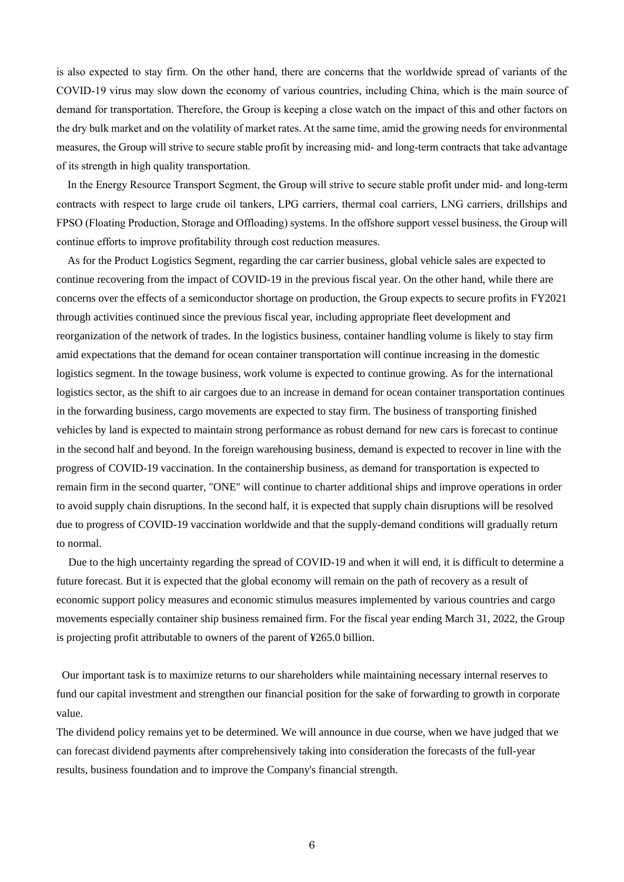is also expected to stay firm. On the other hand, there are concerns that the worldwide spread of variants of the COVID-19 virus may slow down the economy of various countries, including China, which is the main source of demand for transportation. Therefore, the Group is keeping a close watch on the impact of this and other factors on the dry bulk market and on the volatility of market rates. At the same time, amid the growing needs for environmental measures, the Group will strive to secure stable profit by increasing mid- and long-term contracts that take advantage of its strength in high quality transportation.

In the Energy Resource Transport Segment, the Group will strive to secure stable profit under mid- and long-term contracts with respect to large crude oil tankers, LPG carriers, thermal coal carriers, LNG carriers, drillships and FPSO (Floating Production, Storage and Offloading) systems. In the offshore support vessel business, the Group will continue efforts to improve profitability through cost reduction measures.

As for the Product Logistics Segment, regarding the car carrier business, global vehicle sales are expected to continue recovering from the impact of COVID-19 in the previous fiscal year. On the other hand, while there are concerns over the effects of a semiconductor shortage on production, the Group expects to secure profits in FY2021 through activities continued since the previous fiscal year, including appropriate fleet development and reorganization of the network of trades. In the logistics business, container handling volume is likely to stay firm amid expectations that the demand for ocean container transportation will continue increasing in the domestic logistics segment. In the towage business, work volume is expected to continue growing. As for the international logistics sector, as the shift to air cargoes due to an increase in demand for ocean container transportation continues in the forwarding business, cargo movements are expected to stay firm. The business of transporting finished vehicles by land is expected to maintain strong performance as robust demand for new cars is forecast to continue in the second half and beyond. In the foreign warehousing business, demand is expected to recover in line with the progress of COVID-19 vaccination. In the containership business, as demand for transportation is expected to remain firm in the second quarter, "ONE" will continue to charter additional ships and improve operations in order to avoid supply chain disruptions. In the second half, it is expected that supply chain disruptions will be resolved due to progress of COVID-19 vaccination worldwide and that the supply-demand conditions will gradually return to normal.

Due to the high uncertainty regarding the spread of COVID-19 and when it will end, it is difficult to determine a future forecast. But it is expected that the global economy will remain on the path of recovery as a result of economic support policy measures and economic stimulus measures implemented by various countries and cargo movements especially container ship business remained firm. For the fiscal year ending March 31, 2022, the Group is projecting profit attributable to owners of the parent of ¥265.0 billion.

Our important task is to maximize returns to our shareholders while maintaining necessary internal reserves to fund our capital investment and strengthen our financial position for the sake of forwarding to growth in corporate value.

The dividend policy remains yet to be determined. We will announce in due course, when we have judged that we can forecast dividend payments after comprehensively taking into consideration the forecasts of the full-year results, business foundation and to improve the Company's financial strength.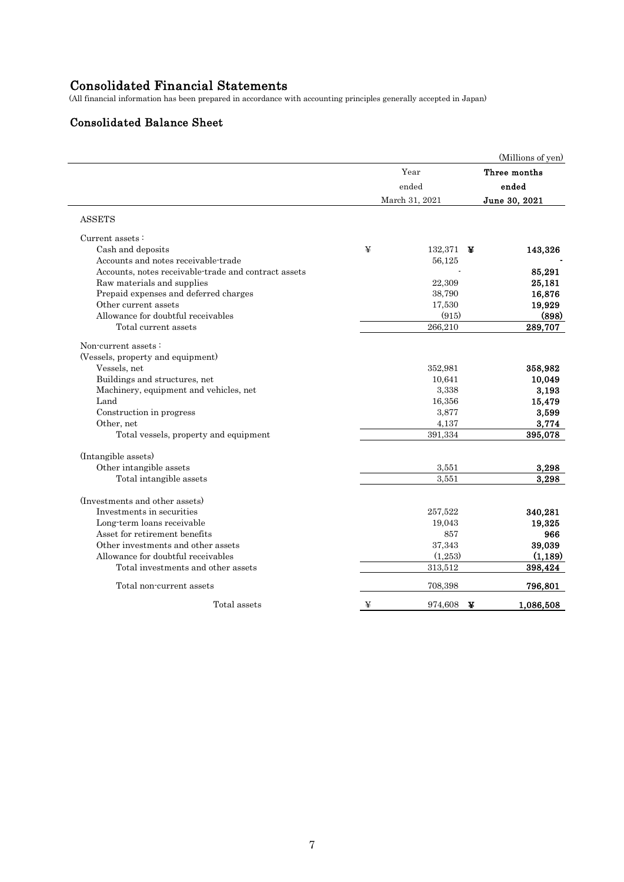# Consolidated Financial Statements

(All financial information has been prepared in accordance with accounting principles generally accepted in Japan)

# Consolidated Balance Sheet

|       |              | (Millions of yen)                                                    |
|-------|--------------|----------------------------------------------------------------------|
|       | Year         | Three months                                                         |
| ended |              | ended                                                                |
|       |              | June 30, 2021                                                        |
|       |              |                                                                      |
|       |              |                                                                      |
| ¥     | 132,371      | 143,326                                                              |
|       | 56,125       |                                                                      |
|       |              | 85,291                                                               |
|       | 22,309       | 25,181                                                               |
|       | 38,790       | 16,876                                                               |
|       | 17,530       | 19,929                                                               |
|       | (915)        | (898)                                                                |
|       | 266,210      | 289,707                                                              |
|       |              |                                                                      |
|       |              |                                                                      |
|       | 352,981      | 358,982                                                              |
|       | 10.641       | 10,049                                                               |
|       | 3,338        | 3,193                                                                |
|       | 16,356       | 15,479                                                               |
|       | 3,877        | 3,599                                                                |
|       | 4,137        | 3,774                                                                |
|       | 391,334      | 395,078                                                              |
|       |              |                                                                      |
|       | 3,551        | 3,298                                                                |
|       | 3,551        | 3,298                                                                |
|       |              |                                                                      |
|       |              | 340,281                                                              |
|       |              | 19,325                                                               |
|       |              | 966                                                                  |
|       |              | 39,039                                                               |
|       |              | (1, 189)                                                             |
|       | 313,512      | 398,424                                                              |
|       | 708,398      | 796,801                                                              |
| ¥     | 974,608<br>¥ | 1,086,508                                                            |
|       |              | March 31, 2021<br>¥<br>257,522<br>19,043<br>857<br>37,343<br>(1,253) |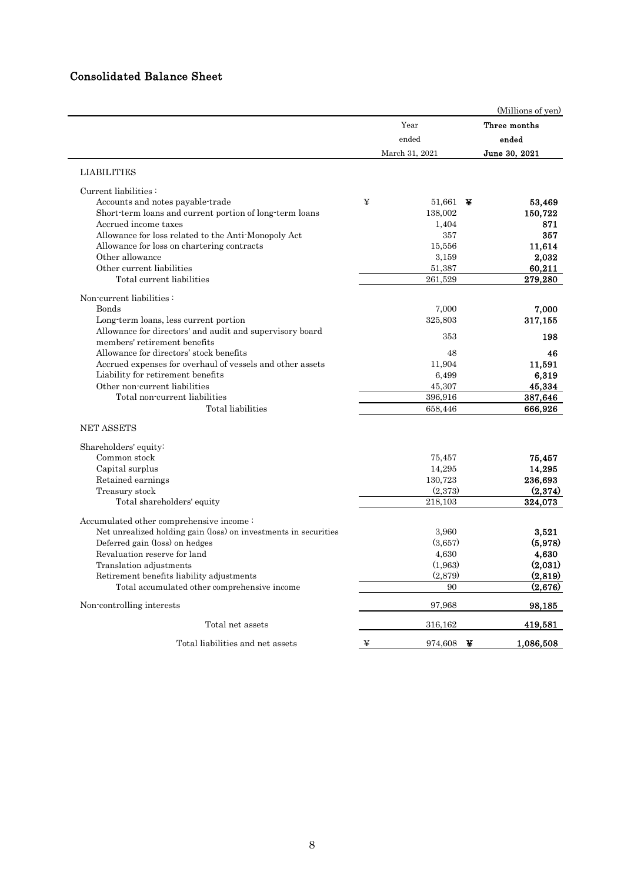# Consolidated Balance Sheet

|                                                                 |       |                    | (Millions of yen) |          |
|-----------------------------------------------------------------|-------|--------------------|-------------------|----------|
|                                                                 |       | Year               | Three months      |          |
|                                                                 | ended |                    | ended             |          |
|                                                                 |       | March 31, 2021     | June 30, 2021     |          |
| <b>LIABILITIES</b>                                              |       |                    |                   |          |
| Current liabilities:                                            |       |                    |                   |          |
| Accounts and notes payable-trade                                | ¥     | 51,661 $\bm{\Psi}$ |                   | 53,469   |
| Short-term loans and current portion of long-term loans         |       | 138,002            | 150,722           |          |
| Accrued income taxes                                            |       | 1,404              |                   | 871      |
| Allowance for loss related to the Anti-Monopoly Act             |       | 357                |                   | 357      |
| Allowance for loss on chartering contracts                      |       | 15,556             |                   | 11,614   |
| Other allowance                                                 |       | 3,159              |                   | 2,032    |
| Other current liabilities                                       |       | 51,387             |                   | 60,211   |
| Total current liabilities                                       |       | 261,529            | 279,280           |          |
| Non-current liabilities:                                        |       |                    |                   |          |
| Bonds                                                           |       | 7,000              |                   | 7.000    |
| Long-term loans, less current portion                           |       | 325,803            | 317,155           |          |
| Allowance for directors' and audit and supervisory board        |       | 353                |                   | 198      |
| members' retirement benefits                                    |       |                    |                   |          |
| Allowance for directors' stock benefits                         |       | 48                 |                   | 46       |
| Accrued expenses for overhaul of vessels and other assets       |       | 11,904             |                   | 11,591   |
| Liability for retirement benefits                               |       | 6,499              |                   | 6,319    |
| Other non-current liabilities                                   |       | 45,307             |                   | 45,334   |
| Total non-current liabilities                                   |       | 396,916            | 387,646           |          |
| Total liabilities                                               |       | 658,446            | 666,926           |          |
| <b>NET ASSETS</b>                                               |       |                    |                   |          |
| Shareholders' equity:                                           |       |                    |                   |          |
| Common stock                                                    |       | 75,457             |                   | 75,457   |
| Capital surplus                                                 |       | 14,295             |                   | 14,295   |
| Retained earnings                                               |       | 130,723            | 236,693           |          |
| Treasury stock                                                  |       | (2.373)            |                   | (2,374)  |
| Total shareholders' equity                                      |       | 218.103            | 324,073           |          |
| Accumulated other comprehensive income:                         |       |                    |                   |          |
| Net unrealized holding gain (loss) on investments in securities |       | 3,960              |                   | 3,521    |
| Deferred gain (loss) on hedges                                  |       | (3,657)            |                   | (5,978)  |
| Revaluation reserve for land                                    |       | 4,630              |                   | 4,630    |
| Translation adjustments                                         |       | (1,963)            |                   | (2,031)  |
| Retirement benefits liability adjustments                       |       | (2,879)            |                   | (2, 819) |
| Total accumulated other comprehensive income                    |       | 90                 |                   | (2,676)  |
| Non-controlling interests                                       |       | 97,968             |                   | 98,185   |
| Total net assets                                                |       | 316,162            | 419,581           |          |
| Total liabilities and net assets                                | ¥     | 974,608            | ¥<br>1,086,508    |          |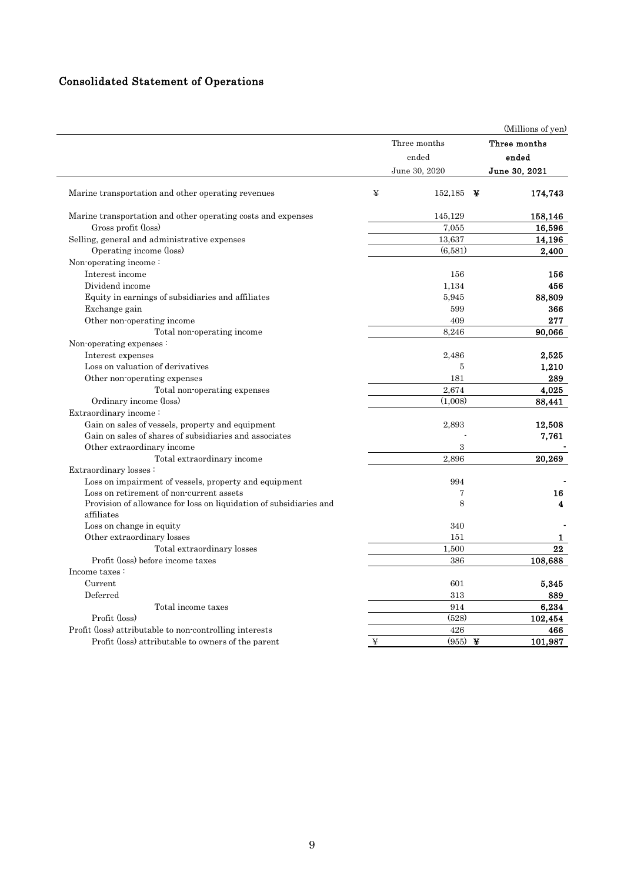# Consolidated Statement of Operations

|                                                                                  |   |                          | (Millions of yen) |
|----------------------------------------------------------------------------------|---|--------------------------|-------------------|
|                                                                                  |   | Three months             | Three months      |
|                                                                                  |   | ended                    | ended             |
|                                                                                  |   | June 30, 2020            | June 30, 2021     |
| Marine transportation and other operating revenues                               | ¥ | 152,185<br>$\rightarrow$ | 174,743           |
| Marine transportation and other operating costs and expenses                     |   | 145,129                  | 158,146           |
| Gross profit (loss)                                                              |   | 7,055                    | 16,596            |
| Selling, general and administrative expenses                                     |   | 13,637                   | 14,196            |
| Operating income (loss)                                                          |   | (6,581)                  | 2,400             |
| Non-operating income:                                                            |   |                          |                   |
| Interest income                                                                  |   | 156                      | 156               |
| Dividend income                                                                  |   | 1,134                    | 456               |
| Equity in earnings of subsidiaries and affiliates                                |   | 5,945                    | 88,809            |
| Exchange gain                                                                    |   | 599                      | 366               |
| Other non-operating income                                                       |   | 409                      | 277               |
| Total non-operating income                                                       |   | 8,246                    | 90,066            |
| Non-operating expenses:                                                          |   |                          |                   |
| Interest expenses                                                                |   | 2,486                    | 2,525             |
| Loss on valuation of derivatives                                                 |   | 5                        | 1,210             |
| Other non-operating expenses                                                     |   | 181                      | 289               |
| Total non-operating expenses                                                     |   | 2,674                    | 4,025             |
| Ordinary income (loss)                                                           |   | (1.008)                  | 88,441            |
| Extraordinary income:                                                            |   |                          |                   |
| Gain on sales of vessels, property and equipment                                 |   | 2,893                    | 12,508            |
| Gain on sales of shares of subsidiaries and associates                           |   |                          | 7,761             |
| Other extraordinary income                                                       |   | 3                        |                   |
| Total extraordinary income                                                       |   | 2,896                    | 20,269            |
| Extraordinary losses:                                                            |   |                          |                   |
| Loss on impairment of vessels, property and equipment                            |   | 994                      |                   |
| Loss on retirement of non-current assets                                         |   | 7                        | 16                |
| Provision of allowance for loss on liquidation of subsidiaries and<br>affiliates |   | 8                        | 4                 |
| Loss on change in equity                                                         |   | 340                      |                   |
| Other extraordinary losses                                                       |   | 151                      | 1                 |
| Total extraordinary losses                                                       |   | 1,500                    | 22                |
| Profit (loss) before income taxes                                                |   | 386                      | 108,688           |
| Income taxes:                                                                    |   |                          |                   |
| Current                                                                          |   | 601                      | 5,345             |
| Deferred                                                                         |   | 313                      | 889               |
| Total income taxes                                                               |   | 914                      | 6,234             |
| Profit (loss)                                                                    |   | (528)                    | 102,454           |
| Profit (loss) attributable to non-controlling interests                          |   | 426                      | 466               |
| Profit (loss) attributable to owners of the parent                               | ¥ | (955)<br>¥               | 101,987           |
|                                                                                  |   |                          |                   |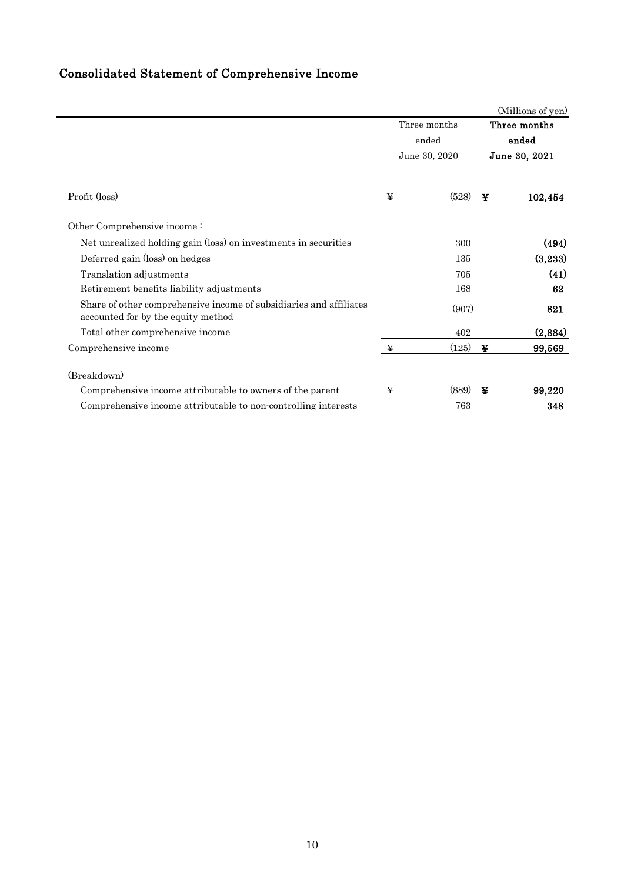# Consolidated Statement of Comprehensive Income

|                                                                                                          |   |               |       | (Millions of yen) |
|----------------------------------------------------------------------------------------------------------|---|---------------|-------|-------------------|
|                                                                                                          |   | Three months  |       | Three months      |
|                                                                                                          |   | ended         | ended |                   |
|                                                                                                          |   | June 30, 2020 |       | June 30, 2021     |
| Profit (loss)                                                                                            | ¥ | (528)         | ¥     | 102,454           |
| Other Comprehensive income:                                                                              |   |               |       |                   |
| Net unrealized holding gain (loss) on investments in securities                                          |   | 300           |       | (494)             |
| Deferred gain (loss) on hedges                                                                           |   | 135           |       | (3,233)           |
| Translation adjustments                                                                                  |   | 705           |       | (41)              |
| Retirement benefits liability adjustments                                                                |   | 168           |       | 62                |
| Share of other comprehensive income of subsidiaries and affiliates<br>accounted for by the equity method |   | (907)         |       | 821               |
| Total other comprehensive income                                                                         |   | 402           |       | (2,884)           |
| Comprehensive income                                                                                     | ¥ | (125)         | ¥     | 99,569            |
| (Breakdown)                                                                                              |   |               |       |                   |
| Comprehensive income attributable to owners of the parent                                                | ¥ | (889)         | ¥     | 99,220            |
| Comprehensive income attributable to non-controlling interests                                           |   | 763           |       | 348               |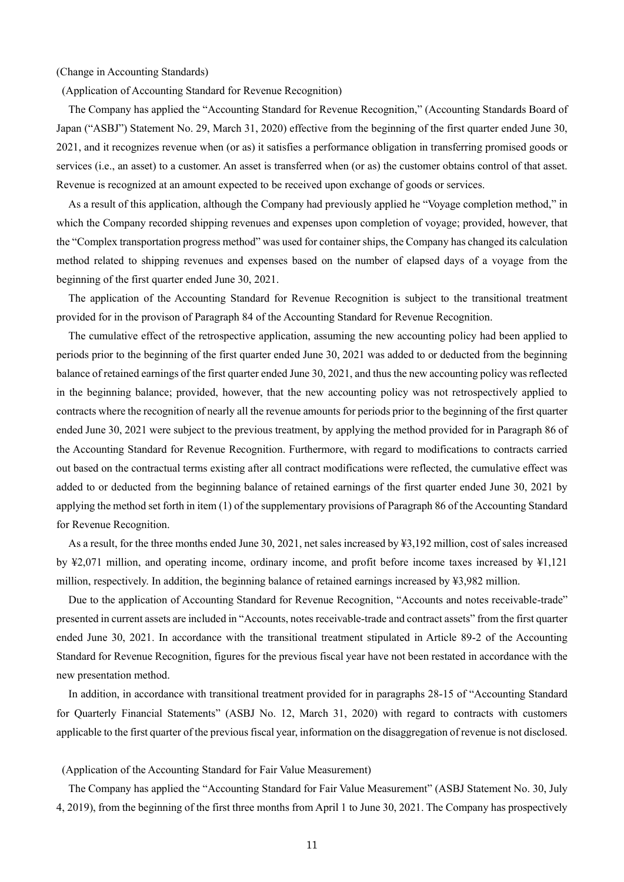#### (Change in Accounting Standards)

(Application of Accounting Standard for Revenue Recognition)

The Company has applied the "Accounting Standard for Revenue Recognition," (Accounting Standards Board of Japan ("ASBJ") Statement No. 29, March 31, 2020) effective from the beginning of the first quarter ended June 30, 2021, and it recognizes revenue when (or as) it satisfies a performance obligation in transferring promised goods or services (i.e., an asset) to a customer. An asset is transferred when (or as) the customer obtains control of that asset. Revenue is recognized at an amount expected to be received upon exchange of goods or services.

As a result of this application, although the Company had previously applied he "Voyage completion method," in which the Company recorded shipping revenues and expenses upon completion of voyage; provided, however, that the "Complex transportation progress method" was used for container ships, the Company has changed its calculation method related to shipping revenues and expenses based on the number of elapsed days of a voyage from the beginning of the first quarter ended June 30, 2021.

The application of the Accounting Standard for Revenue Recognition is subject to the transitional treatment provided for in the provison of Paragraph 84 of the Accounting Standard for Revenue Recognition.

The cumulative effect of the retrospective application, assuming the new accounting policy had been applied to periods prior to the beginning of the first quarter ended June 30, 2021 was added to or deducted from the beginning balance of retained earnings of the first quarter ended June 30, 2021, and thus the new accounting policy was reflected in the beginning balance; provided, however, that the new accounting policy was not retrospectively applied to contracts where the recognition of nearly all the revenue amounts for periods prior to the beginning of the first quarter ended June 30, 2021 were subject to the previous treatment, by applying the method provided for in Paragraph 86 of the Accounting Standard for Revenue Recognition. Furthermore, with regard to modifications to contracts carried out based on the contractual terms existing after all contract modifications were reflected, the cumulative effect was added to or deducted from the beginning balance of retained earnings of the first quarter ended June 30, 2021 by applying the method set forth in item (1) of the supplementary provisions of Paragraph 86 of the Accounting Standard for Revenue Recognition.

As a result, for the three months ended June 30, 2021, net sales increased by ¥3,192 million, cost of sales increased by ¥2,071 million, and operating income, ordinary income, and profit before income taxes increased by ¥1,121 million, respectively. In addition, the beginning balance of retained earnings increased by ¥3,982 million.

Due to the application of Accounting Standard for Revenue Recognition, "Accounts and notes receivable-trade" presented in current assets are included in "Accounts, notes receivable-trade and contract assets" from the first quarter ended June 30, 2021. In accordance with the transitional treatment stipulated in Article 89-2 of the Accounting Standard for Revenue Recognition, figures for the previous fiscal year have not been restated in accordance with the new presentation method.

In addition, in accordance with transitional treatment provided for in paragraphs 28-15 of "Accounting Standard for Quarterly Financial Statements" (ASBJ No. 12, March 31, 2020) with regard to contracts with customers applicable to the first quarter of the previous fiscal year, information on the disaggregation of revenue is not disclosed.

(Application of the Accounting Standard for Fair Value Measurement)

The Company has applied the "Accounting Standard for Fair Value Measurement" (ASBJ Statement No. 30, July 4, 2019), from the beginning of the first three months from April 1 to June 30, 2021. The Company has prospectively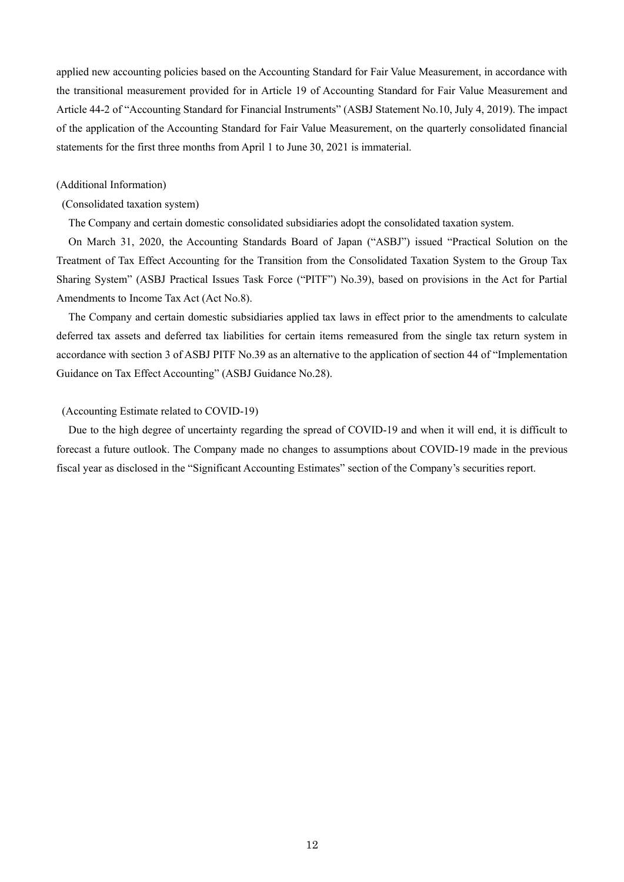applied new accounting policies based on the Accounting Standard for Fair Value Measurement, in accordance with the transitional measurement provided for in Article 19 of Accounting Standard for Fair Value Measurement and Article 44-2 of "Accounting Standard for Financial Instruments" (ASBJ Statement No.10, July 4, 2019). The impact of the application of the Accounting Standard for Fair Value Measurement, on the quarterly consolidated financial statements for the first three months from April 1 to June 30, 2021 is immaterial.

#### (Additional Information)

### (Consolidated taxation system)

The Company and certain domestic consolidated subsidiaries adopt the consolidated taxation system.

On March 31, 2020, the Accounting Standards Board of Japan ("ASBJ") issued "Practical Solution on the Treatment of Tax Effect Accounting for the Transition from the Consolidated Taxation System to the Group Tax Sharing System" (ASBJ Practical Issues Task Force ("PITF") No.39), based on provisions in the Act for Partial Amendments to Income Tax Act (Act No.8).

The Company and certain domestic subsidiaries applied tax laws in effect prior to the amendments to calculate deferred tax assets and deferred tax liabilities for certain items remeasured from the single tax return system in accordance with section 3 of ASBJ PITF No.39 as an alternative to the application of section 44 of "Implementation Guidance on Tax Effect Accounting" (ASBJ Guidance No.28).

#### (Accounting Estimate related to COVID-19)

Due to the high degree of uncertainty regarding the spread of COVID-19 and when it will end, it is difficult to forecast a future outlook. The Company made no changes to assumptions about COVID-19 made in the previous fiscal year as disclosed in the "Significant Accounting Estimates" section of the Company's securities report.